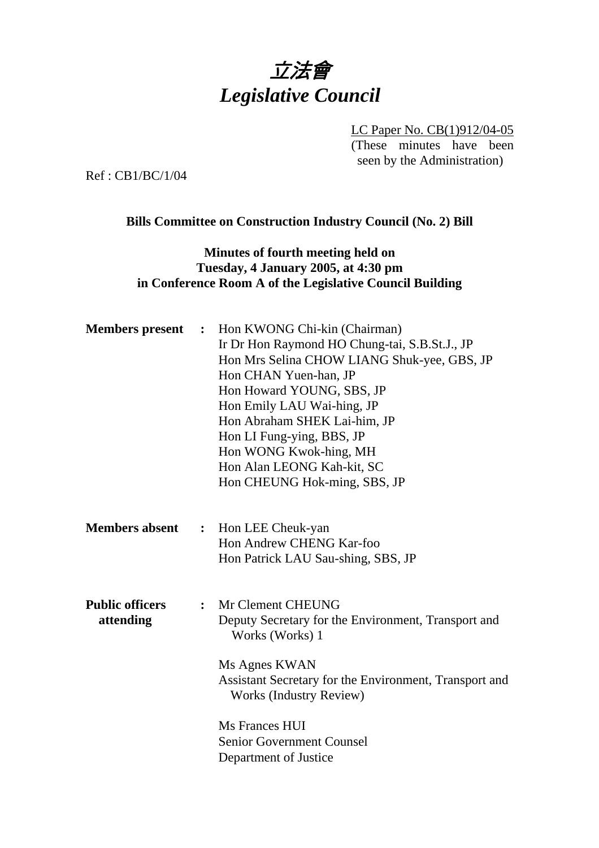

LC Paper No. CB(1)912/04-05 (These minutes have been seen by the Administration)

Ref : CB1/BC/1/04

#### **Bills Committee on Construction Industry Council (No. 2) Bill**

# **Minutes of fourth meeting held on Tuesday, 4 January 2005, at 4:30 pm in Conference Room A of the Legislative Council Building**

| <b>Members</b> present              | $\ddot{\cdot}$ | Hon KWONG Chi-kin (Chairman)<br>Ir Dr Hon Raymond HO Chung-tai, S.B.St.J., JP<br>Hon Mrs Selina CHOW LIANG Shuk-yee, GBS, JP<br>Hon CHAN Yuen-han, JP<br>Hon Howard YOUNG, SBS, JP<br>Hon Emily LAU Wai-hing, JP<br>Hon Abraham SHEK Lai-him, JP<br>Hon LI Fung-ying, BBS, JP<br>Hon WONG Kwok-hing, MH<br>Hon Alan LEONG Kah-kit, SC<br>Hon CHEUNG Hok-ming, SBS, JP |
|-------------------------------------|----------------|-----------------------------------------------------------------------------------------------------------------------------------------------------------------------------------------------------------------------------------------------------------------------------------------------------------------------------------------------------------------------|
| <b>Members absent</b>               | $\ddot{\cdot}$ | Hon LEE Cheuk-yan<br>Hon Andrew CHENG Kar-foo<br>Hon Patrick LAU Sau-shing, SBS, JP                                                                                                                                                                                                                                                                                   |
| <b>Public officers</b><br>attending | $\ddot{\cdot}$ | Mr Clement CHEUNG<br>Deputy Secretary for the Environment, Transport and<br>Works (Works) 1<br>Ms Agnes KWAN<br>Assistant Secretary for the Environment, Transport and<br><b>Works (Industry Review)</b><br>Ms Frances HUI<br><b>Senior Government Counsel</b><br>Department of Justice                                                                               |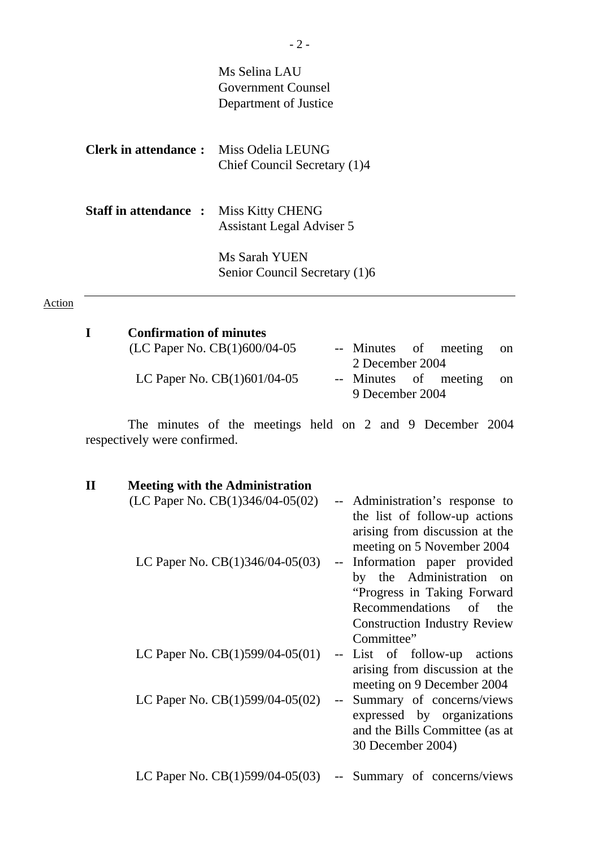|                                                | Ms Selina LAU<br>Government Counsel<br>Department of Justice |
|------------------------------------------------|--------------------------------------------------------------|
| <b>Clerk in attendance :</b> Miss Odelia LEUNG | Chief Council Secretary (1)4                                 |
| <b>Staff in attendance :</b>                   | Miss Kitty CHENG<br><b>Assistant Legal Adviser 5</b>         |
|                                                | Ms Sarah YUEN<br>Senior Council Secretary (1)6               |

#### Action

| <b>Confirmation of minutes</b> |                          |    |
|--------------------------------|--------------------------|----|
| (LC Paper No. CB(1)600/04-05   | -- Minutes of meeting    | on |
|                                | 2 December 2004          |    |
| LC Paper No. $CB(1)601/04-05$  | -- Minutes of meeting on |    |
|                                | 9 December 2004          |    |
|                                |                          |    |

 The minutes of the meetings held on 2 and 9 December 2004 respectively were confirmed.

| <b>Meeting with the Administration</b> |                                 |                                     |
|----------------------------------------|---------------------------------|-------------------------------------|
| (LC Paper No. $CB(1)346/04-05(02)$ )   |                                 | -- Administration's response to     |
|                                        |                                 | the list of follow-up actions       |
|                                        |                                 | arising from discussion at the      |
|                                        |                                 | meeting on 5 November 2004          |
| LC Paper No. $CB(1)346/04-05(03)$      |                                 | -- Information paper provided       |
|                                        |                                 | by the Administration<br>on         |
|                                        |                                 | "Progress in Taking Forward         |
|                                        |                                 | Recommendations of the              |
|                                        |                                 | <b>Construction Industry Review</b> |
|                                        |                                 | Committee"                          |
| LC Paper No. $CB(1)599/04-05(01)$      |                                 | -- List of follow-up actions        |
|                                        |                                 | arising from discussion at the      |
|                                        |                                 | meeting on 9 December 2004          |
| LC Paper No. $CB(1)599/04-05(02)$      | $\frac{1}{2}$ and $\frac{1}{2}$ | Summary of concerns/views           |
|                                        |                                 | expressed by organizations          |
|                                        |                                 | and the Bills Committee (as at      |
|                                        |                                 | 30 December 2004)                   |
| LC Paper No. $CB(1)599/04-05(03)$      |                                 | -- Summary of concerns/views        |
|                                        |                                 |                                     |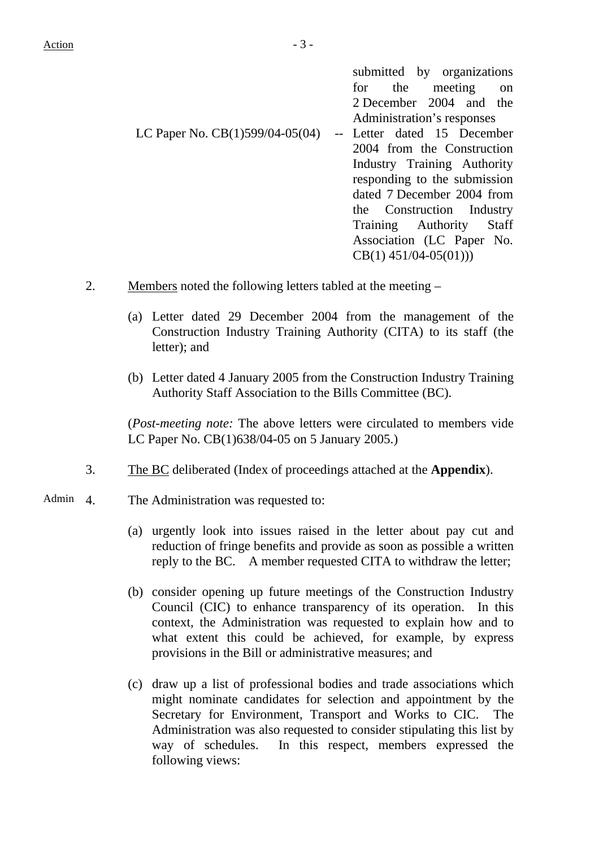submitted by organizations for the meeting on 2 December 2004 and the Administration's responses LC Paper No. CB(1)599/04-05(04) -- Letter dated 15 December 2004 from the Construction Industry Training Authority responding to the submission dated 7 December 2004 from the Construction Industry Training Authority Staff Association (LC Paper No. CB(1) 451/04-05(01)))

- 2. Members noted the following letters tabled at the meeting
	- (a) Letter dated 29 December 2004 from the management of the Construction Industry Training Authority (CITA) to its staff (the letter); and
	- (b) Letter dated 4 January 2005 from the Construction Industry Training Authority Staff Association to the Bills Committee (BC).

 (*Post-meeting note:* The above letters were circulated to members vide LC Paper No. CB(1)638/04-05 on 5 January 2005.)

- 3. The BC deliberated (Index of proceedings attached at the **Appendix**).
- Admin 4. The Administration was requested to:
	- (a) urgently look into issues raised in the letter about pay cut and reduction of fringe benefits and provide as soon as possible a written reply to the BC. A member requested CITA to withdraw the letter;
	- (b) consider opening up future meetings of the Construction Industry Council (CIC) to enhance transparency of its operation. In this context, the Administration was requested to explain how and to what extent this could be achieved, for example, by express provisions in the Bill or administrative measures; and
	- (c) draw up a list of professional bodies and trade associations which might nominate candidates for selection and appointment by the Secretary for Environment, Transport and Works to CIC. The Administration was also requested to consider stipulating this list by way of schedules. In this respect, members expressed the following views: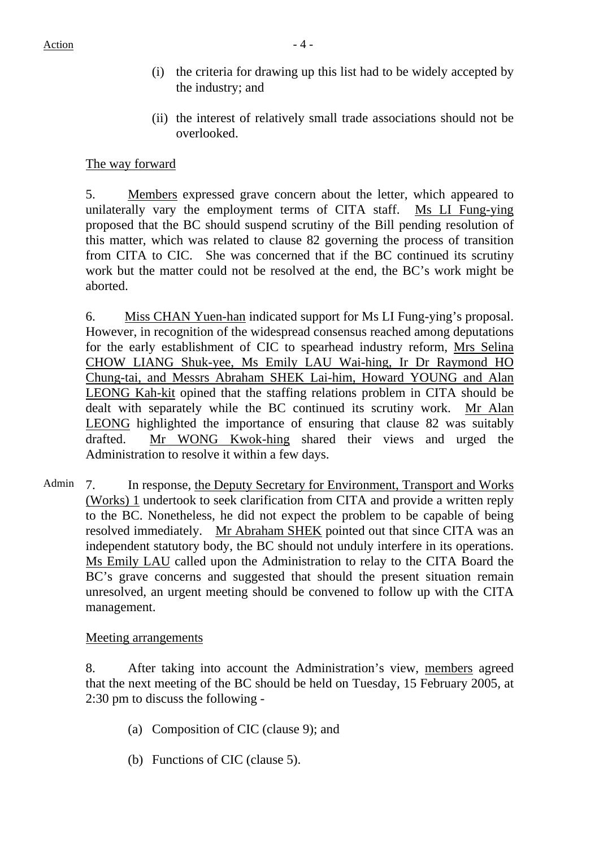- (i) the criteria for drawing up this list had to be widely accepted by the industry; and
- (ii) the interest of relatively small trade associations should not be overlooked.

The way forward

5. Members expressed grave concern about the letter, which appeared to unilaterally vary the employment terms of CITA staff. Ms LI Fung-ying proposed that the BC should suspend scrutiny of the Bill pending resolution of this matter, which was related to clause 82 governing the process of transition from CITA to CIC. She was concerned that if the BC continued its scrutiny work but the matter could not be resolved at the end, the BC's work might be aborted.

6. Miss CHAN Yuen-han indicated support for Ms LI Fung-ying's proposal. However, in recognition of the widespread consensus reached among deputations for the early establishment of CIC to spearhead industry reform, Mrs Selina CHOW LIANG Shuk-yee, Ms Emily LAU Wai-hing, Ir Dr Raymond HO Chung-tai, and Messrs Abraham SHEK Lai-him, Howard YOUNG and Alan LEONG Kah-kit opined that the staffing relations problem in CITA should be dealt with separately while the BC continued its scrutiny work. Mr Alan LEONG highlighted the importance of ensuring that clause 82 was suitably drafted. Mr WONG Kwok-hing shared their views and urged the Administration to resolve it within a few days.

Admin 7. In response, the Deputy Secretary for Environment, Transport and Works (Works) 1 undertook to seek clarification from CITA and provide a written reply to the BC. Nonetheless, he did not expect the problem to be capable of being resolved immediately. Mr Abraham SHEK pointed out that since CITA was an independent statutory body, the BC should not unduly interfere in its operations. Ms Emily LAU called upon the Administration to relay to the CITA Board the BC's grave concerns and suggested that should the present situation remain unresolved, an urgent meeting should be convened to follow up with the CITA management.

# Meeting arrangements

8. After taking into account the Administration's view, members agreed that the next meeting of the BC should be held on Tuesday, 15 February 2005, at 2:30 pm to discuss the following -

- (a) Composition of CIC (clause 9); and
- (b) Functions of CIC (clause 5).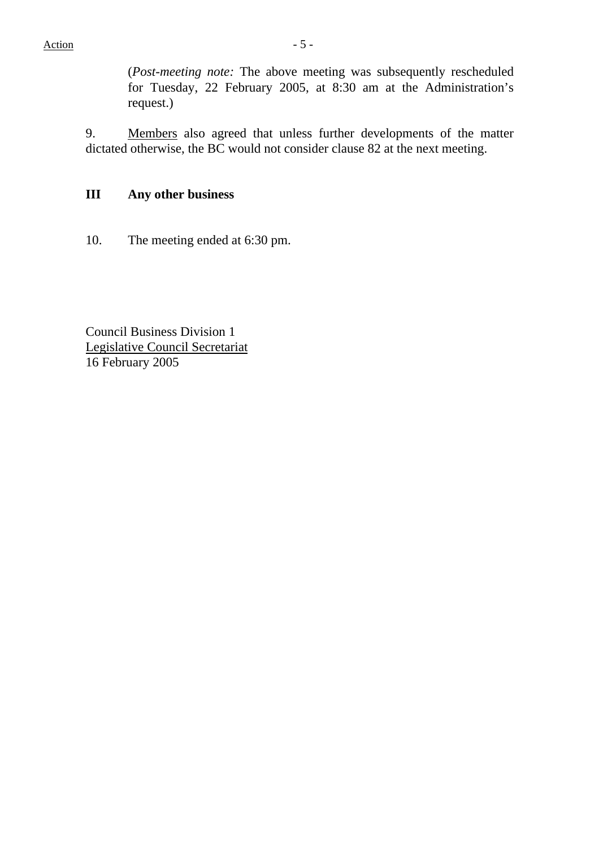(*Post-meeting note:* The above meeting was subsequently rescheduled for Tuesday, 22 February 2005, at 8:30 am at the Administration's request.)

9. Members also agreed that unless further developments of the matter dictated otherwise, the BC would not consider clause 82 at the next meeting.

## **III Any other business**

10. The meeting ended at 6:30 pm.

Council Business Division 1 Legislative Council Secretariat 16 February 2005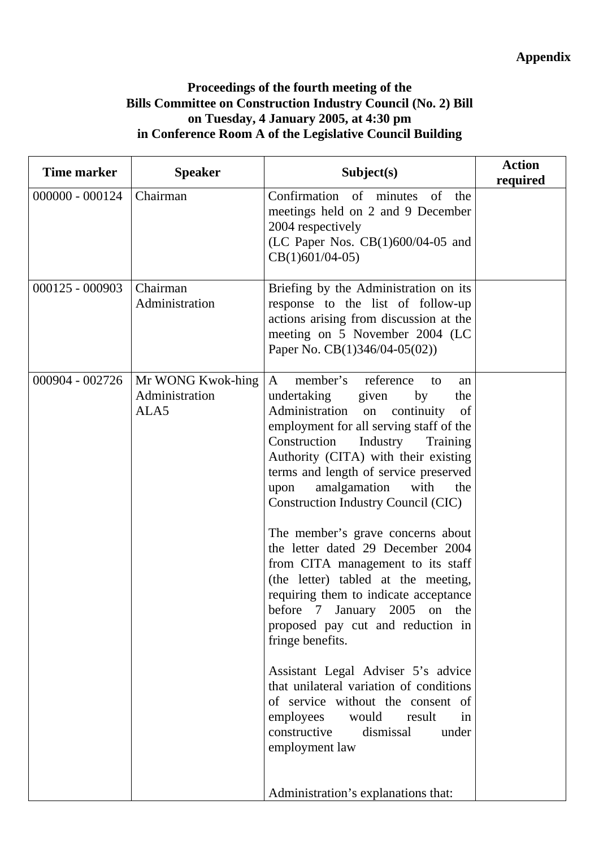## **Proceedings of the fourth meeting of the Bills Committee on Construction Industry Council (No. 2) Bill on Tuesday, 4 January 2005, at 4:30 pm in Conference Room A of the Legislative Council Building**

| <b>Time marker</b> | <b>Speaker</b>                              | Subject(s)                                                                                                                                                                                                                                                                                                                                                                                                                                                                                                                                                                                                                                                                                                                                                                                                                                                                                                                                  | <b>Action</b><br>required |
|--------------------|---------------------------------------------|---------------------------------------------------------------------------------------------------------------------------------------------------------------------------------------------------------------------------------------------------------------------------------------------------------------------------------------------------------------------------------------------------------------------------------------------------------------------------------------------------------------------------------------------------------------------------------------------------------------------------------------------------------------------------------------------------------------------------------------------------------------------------------------------------------------------------------------------------------------------------------------------------------------------------------------------|---------------------------|
| 000000 - 000124    | Chairman                                    | Confirmation of minutes<br>of<br>the<br>meetings held on 2 and 9 December<br>2004 respectively<br>(LC Paper Nos. CB(1)600/04-05 and<br>$CB(1)601/04-05)$                                                                                                                                                                                                                                                                                                                                                                                                                                                                                                                                                                                                                                                                                                                                                                                    |                           |
| 000125 - 000903    | Chairman<br>Administration                  | Briefing by the Administration on its<br>response to the list of follow-up<br>actions arising from discussion at the<br>meeting on 5 November 2004 (LC<br>Paper No. CB(1)346/04-05(02))                                                                                                                                                                                                                                                                                                                                                                                                                                                                                                                                                                                                                                                                                                                                                     |                           |
| 000904 - 002726    | Mr WONG Kwok-hing<br>Administration<br>ALA5 | member's<br>reference<br>$\mathbf{A}$<br>to<br>an<br>undertaking<br>given<br>by<br>the<br>Administration<br>on continuity<br>of<br>employment for all serving staff of the<br>Construction<br>Industry<br>Training<br>Authority (CITA) with their existing<br>terms and length of service preserved<br>amalgamation<br>with<br>upon<br>the<br><b>Construction Industry Council (CIC)</b><br>The member's grave concerns about<br>the letter dated 29 December 2004<br>from CITA management to its staff<br>(the letter) tabled at the meeting,<br>requiring them to indicate acceptance<br>before 7 January 2005 on the<br>proposed pay cut and reduction in<br>fringe benefits.<br>Assistant Legal Adviser 5's advice<br>that unilateral variation of conditions<br>of service without the consent of<br>employees<br>would<br>result<br>in<br>dismissal<br>constructive<br>under<br>employment law<br>Administration's explanations that: |                           |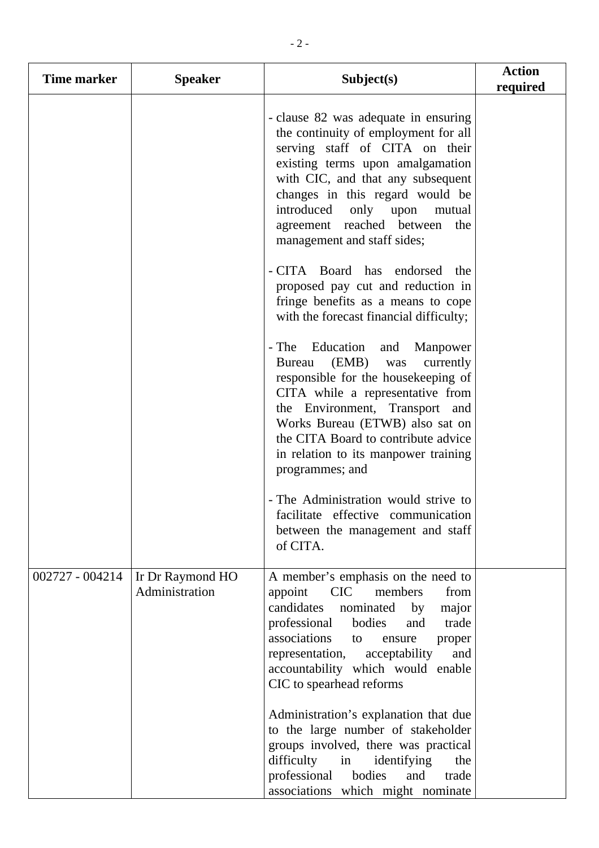| <b>Time marker</b> | <b>Speaker</b>                     | Subject(s)                                                                                                                                                                                                                                                                                                                            | <b>Action</b><br>required |
|--------------------|------------------------------------|---------------------------------------------------------------------------------------------------------------------------------------------------------------------------------------------------------------------------------------------------------------------------------------------------------------------------------------|---------------------------|
|                    |                                    | - clause 82 was adequate in ensuring<br>the continuity of employment for all<br>serving staff of CITA on their<br>existing terms upon amalgamation<br>with CIC, and that any subsequent<br>changes in this regard would be<br>introduced<br>only upon<br>mutual<br>agreement reached between<br>the<br>management and staff sides;    |                           |
|                    |                                    | - CITA Board has endorsed<br>the<br>proposed pay cut and reduction in<br>fringe benefits as a means to cope<br>with the forecast financial difficulty;                                                                                                                                                                                |                           |
|                    |                                    | Education<br>- The<br>and<br>Manpower<br>(EMB)<br>currently<br><b>Bureau</b><br>was<br>responsible for the housekeeping of<br>CITA while a representative from<br>the Environment, Transport and<br>Works Bureau (ETWB) also sat on<br>the CITA Board to contribute advice<br>in relation to its manpower training<br>programmes; and |                           |
|                    |                                    | - The Administration would strive to<br>facilitate effective communication<br>between the management and staff<br>of CITA.                                                                                                                                                                                                            |                           |
| 002727 - 004214    | Ir Dr Raymond HO<br>Administration | A member's emphasis on the need to<br><b>CIC</b><br>members<br>appoint<br>from<br>candidates<br>nominated<br>by<br>major<br>professional<br>bodies<br>trade<br>and<br>associations<br>proper<br>to<br>ensure<br>and<br>representation,<br>acceptability<br>accountability which would enable<br>CIC to spearhead reforms              |                           |
|                    |                                    | Administration's explanation that due<br>to the large number of stakeholder<br>groups involved, there was practical<br>difficulty<br>identifying<br>in<br>the<br>professional<br>bodies<br>and<br>trade<br>associations which might nominate                                                                                          |                           |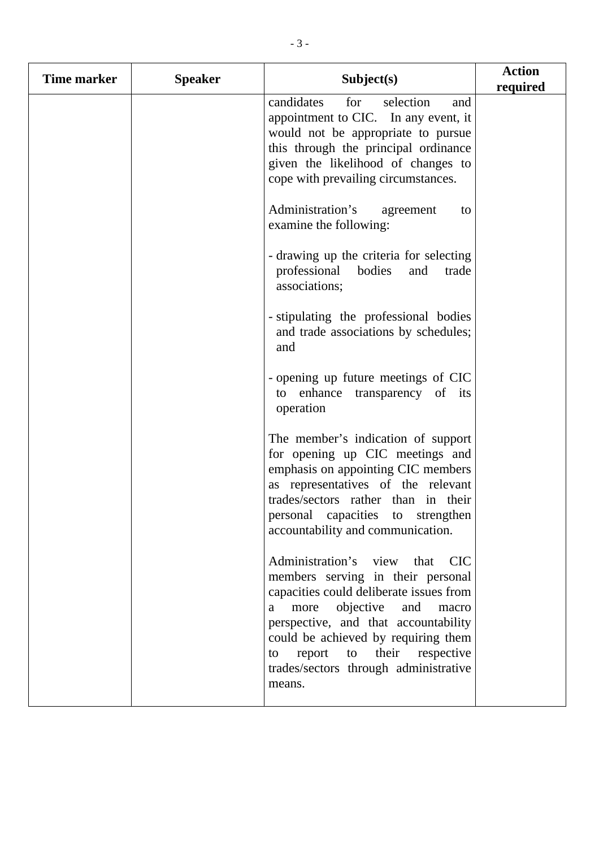| <b>Speaker</b> | Subject(s)                                                                                                                                                                                                                                                                                                                              | <b>Action</b><br>required |
|----------------|-----------------------------------------------------------------------------------------------------------------------------------------------------------------------------------------------------------------------------------------------------------------------------------------------------------------------------------------|---------------------------|
|                | candidates<br>for<br>selection<br>and<br>appointment to CIC. In any event, it<br>would not be appropriate to pursue<br>this through the principal ordinance<br>given the likelihood of changes to<br>cope with prevailing circumstances.                                                                                                |                           |
|                | Administration's<br>agreement<br>to<br>examine the following:                                                                                                                                                                                                                                                                           |                           |
|                | - drawing up the criteria for selecting<br>professional<br>bodies<br>and<br>trade<br>associations;                                                                                                                                                                                                                                      |                           |
|                | - stipulating the professional bodies<br>and trade associations by schedules;<br>and                                                                                                                                                                                                                                                    |                           |
|                | - opening up future meetings of CIC<br>enhance transparency of its<br>to<br>operation                                                                                                                                                                                                                                                   |                           |
|                | The member's indication of support<br>for opening up CIC meetings and<br>emphasis on appointing CIC members<br>as representatives of the relevant<br>trades/sectors rather than in their<br>personal capacities to strengthen<br>accountability and communication.                                                                      |                           |
|                | Administration's view that CIC<br>members serving in their personal<br>capacities could deliberate issues from<br>objective<br>and<br>more<br>macro<br>a<br>perspective, and that accountability<br>could be achieved by requiring them<br>their<br>respective<br>report<br>to<br>to<br>trades/sectors through administrative<br>means. |                           |
|                |                                                                                                                                                                                                                                                                                                                                         |                           |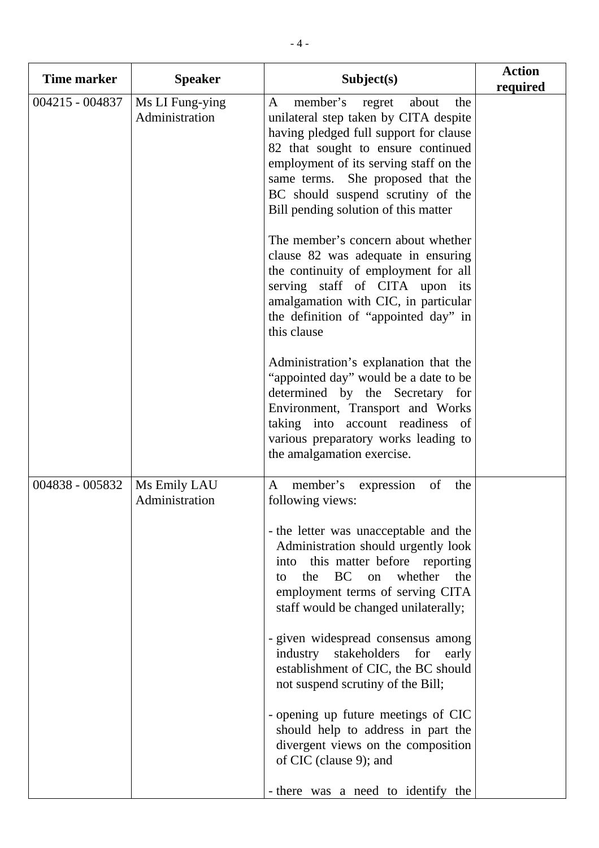| <b>Time marker</b> | <b>Speaker</b>                    | Subject(s)                                                                                                                                                                                                                                                                                                                   | <b>Action</b><br>required |
|--------------------|-----------------------------------|------------------------------------------------------------------------------------------------------------------------------------------------------------------------------------------------------------------------------------------------------------------------------------------------------------------------------|---------------------------|
| 004215 - 004837    | Ms LI Fung-ying<br>Administration | member's<br>about<br>A<br>regret<br>the<br>unilateral step taken by CITA despite<br>having pledged full support for clause<br>82 that sought to ensure continued<br>employment of its serving staff on the<br>same terms. She proposed that the<br>BC should suspend scrutiny of the<br>Bill pending solution of this matter |                           |
|                    |                                   | The member's concern about whether<br>clause 82 was adequate in ensuring<br>the continuity of employment for all<br>serving staff of CITA upon its<br>amalgamation with CIC, in particular<br>the definition of "appointed day" in<br>this clause                                                                            |                           |
|                    |                                   | Administration's explanation that the<br>"appointed day" would be a date to be<br>determined by the Secretary for<br>Environment, Transport and Works<br>taking into account readiness of<br>various preparatory works leading to<br>the amalgamation exercise.                                                              |                           |
| 004838 - 005832    | Ms Emily LAU<br>Administration    | member's expression<br>of<br>$\mathbf{A}$<br>the<br>following views:                                                                                                                                                                                                                                                         |                           |
|                    |                                   | - the letter was unacceptable and the<br>Administration should urgently look<br>this matter before reporting<br>into<br><b>BC</b><br>whether<br>on<br>the<br>the<br>to<br>employment terms of serving CITA<br>staff would be changed unilaterally;                                                                           |                           |
|                    |                                   | - given widespread consensus among<br>industry stakeholders for early<br>establishment of CIC, the BC should<br>not suspend scrutiny of the Bill;                                                                                                                                                                            |                           |
|                    |                                   | - opening up future meetings of CIC<br>should help to address in part the<br>divergent views on the composition<br>of CIC (clause 9); and                                                                                                                                                                                    |                           |
|                    |                                   | - there was a need to identify the                                                                                                                                                                                                                                                                                           |                           |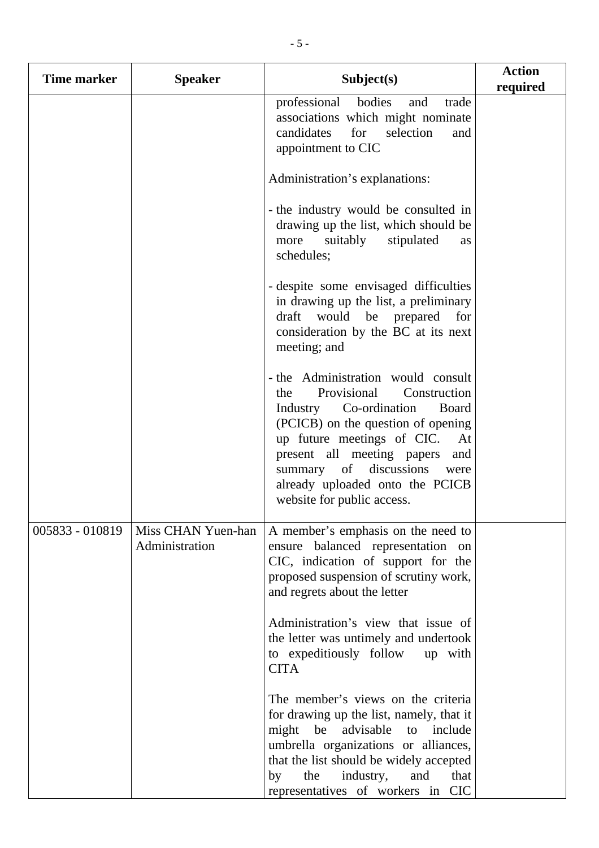| <b>Time marker</b> | <b>Speaker</b>                       | Subject(s)                                                                                                                                                                                                                                                                                                                                 | <b>Action</b><br>required |
|--------------------|--------------------------------------|--------------------------------------------------------------------------------------------------------------------------------------------------------------------------------------------------------------------------------------------------------------------------------------------------------------------------------------------|---------------------------|
|                    |                                      | professional bodies<br>trade<br>and<br>associations which might nominate<br>candidates<br>for<br>selection<br>and<br>appointment to CIC                                                                                                                                                                                                    |                           |
|                    |                                      | Administration's explanations:                                                                                                                                                                                                                                                                                                             |                           |
|                    |                                      | - the industry would be consulted in<br>drawing up the list, which should be<br>suitably<br>stipulated<br>more<br><b>as</b><br>schedules;                                                                                                                                                                                                  |                           |
|                    |                                      | - despite some envisaged difficulties<br>in drawing up the list, a preliminary<br>would<br>be<br>for<br>draft<br>prepared<br>consideration by the BC at its next<br>meeting; and                                                                                                                                                           |                           |
|                    |                                      | - the Administration would consult<br>Provisional<br>Construction<br>the<br>Co-ordination<br><b>Board</b><br>Industry<br>(PCICB) on the question of opening<br>up future meetings of CIC.<br>At<br>present all meeting papers<br>and<br>discussions<br>summary of<br>were<br>already uploaded onto the PCICB<br>website for public access. |                           |
| 005833 - 010819    | Miss CHAN Yuen-han<br>Administration | A member's emphasis on the need to<br>ensure balanced representation on<br>CIC, indication of support for the<br>proposed suspension of scrutiny work,<br>and regrets about the letter                                                                                                                                                     |                           |
|                    |                                      | Administration's view that issue of<br>the letter was untimely and undertook<br>to expeditiously follow<br>up with<br><b>CITA</b>                                                                                                                                                                                                          |                           |
|                    |                                      | The member's views on the criteria<br>for drawing up the list, namely, that it<br>might<br>be<br>advisable<br>include<br>to<br>umbrella organizations or alliances,<br>that the list should be widely accepted<br>industry,<br>and<br>that<br>the<br>by<br>representatives of workers in CIC                                               |                           |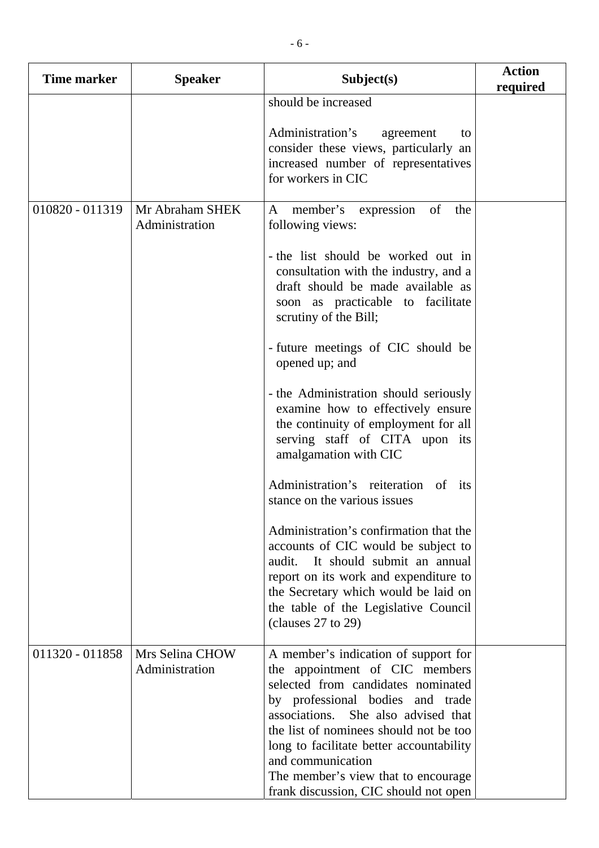| <b>Time marker</b> | <b>Speaker</b>                    | Subject(s)                                                                                                                                                                                                                                                                                                                                                                                                                                                                                                                                                                                                                                                                                                                                                                                                                               | <b>Action</b><br>required |
|--------------------|-----------------------------------|------------------------------------------------------------------------------------------------------------------------------------------------------------------------------------------------------------------------------------------------------------------------------------------------------------------------------------------------------------------------------------------------------------------------------------------------------------------------------------------------------------------------------------------------------------------------------------------------------------------------------------------------------------------------------------------------------------------------------------------------------------------------------------------------------------------------------------------|---------------------------|
|                    |                                   | should be increased<br>Administration's<br>agreement<br>to<br>consider these views, particularly an<br>increased number of representatives<br>for workers in CIC                                                                                                                                                                                                                                                                                                                                                                                                                                                                                                                                                                                                                                                                         |                           |
| 010820 - 011319    | Mr Abraham SHEK<br>Administration | of<br>member's expression<br>the<br>A<br>following views:<br>- the list should be worked out in<br>consultation with the industry, and a<br>draft should be made available as<br>soon as practicable to facilitate<br>scrutiny of the Bill;<br>- future meetings of CIC should be<br>opened up; and<br>- the Administration should seriously<br>examine how to effectively ensure<br>the continuity of employment for all<br>serving staff of CITA upon its<br>amalgamation with CIC<br>Administration's reiteration of its<br>stance on the various issues<br>Administration's confirmation that the<br>accounts of CIC would be subject to<br>It should submit an annual<br>audit.<br>report on its work and expenditure to<br>the Secretary which would be laid on<br>the table of the Legislative Council<br>(clauses $27$ to $29$ ) |                           |
| 011320 - 011858    | Mrs Selina CHOW<br>Administration | A member's indication of support for<br>the appointment of CIC members<br>selected from candidates nominated<br>by professional bodies and trade<br>associations. She also advised that<br>the list of nominees should not be too<br>long to facilitate better accountability<br>and communication<br>The member's view that to encourage<br>frank discussion, CIC should not open                                                                                                                                                                                                                                                                                                                                                                                                                                                       |                           |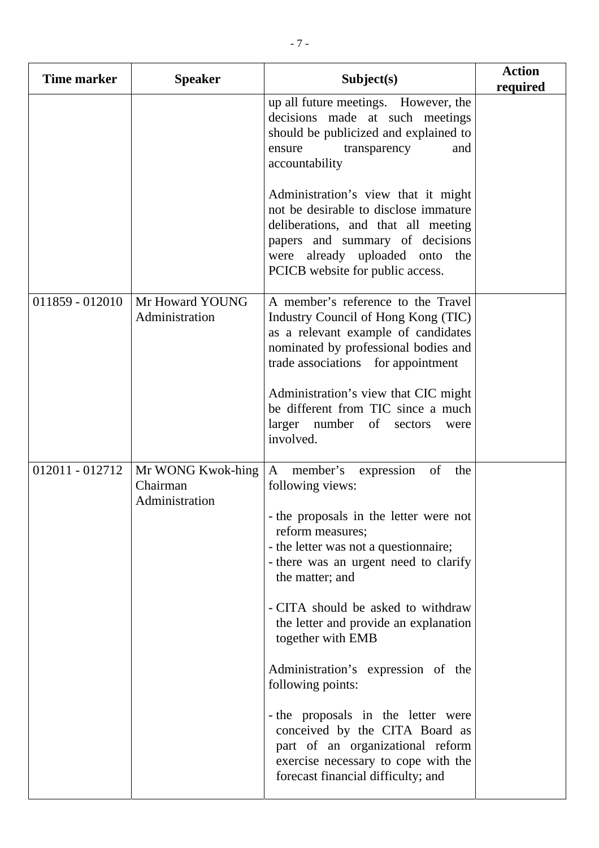| <b>Time marker</b> | <b>Speaker</b>                                  | Subject(s)                                                                                                                                                                                                                                 | <b>Action</b><br>required |
|--------------------|-------------------------------------------------|--------------------------------------------------------------------------------------------------------------------------------------------------------------------------------------------------------------------------------------------|---------------------------|
|                    |                                                 | up all future meetings. However, the<br>decisions made at such meetings<br>should be publicized and explained to<br>transparency<br>ensure<br>and<br>accountability                                                                        |                           |
|                    |                                                 | Administration's view that it might<br>not be desirable to disclose immature<br>deliberations, and that all meeting<br>papers and summary of decisions<br>were already uploaded onto<br>the<br>PCICB website for public access.            |                           |
| 011859 - 012010    | Mr Howard YOUNG<br>Administration               | A member's reference to the Travel<br>Industry Council of Hong Kong (TIC)<br>as a relevant example of candidates<br>nominated by professional bodies and<br>trade associations for appointment                                             |                           |
|                    |                                                 | Administration's view that CIC might<br>be different from TIC since a much<br>larger number of sectors<br>were<br>involved.                                                                                                                |                           |
| 012011 - 012712    | Mr WONG Kwok-hing<br>Chairman<br>Administration | member's<br>expression<br>of<br>$\mathbf{A}$<br>the<br>following views:<br>- the proposals in the letter were not<br>reform measures;<br>- the letter was not a questionnaire;<br>- there was an urgent need to clarify<br>the matter; and |                           |
|                    |                                                 | - CITA should be asked to withdraw<br>the letter and provide an explanation<br>together with EMB                                                                                                                                           |                           |
|                    |                                                 | Administration's expression of the<br>following points:                                                                                                                                                                                    |                           |
|                    |                                                 | - the proposals in the letter were<br>conceived by the CITA Board as<br>part of an organizational reform<br>exercise necessary to cope with the<br>forecast financial difficulty; and                                                      |                           |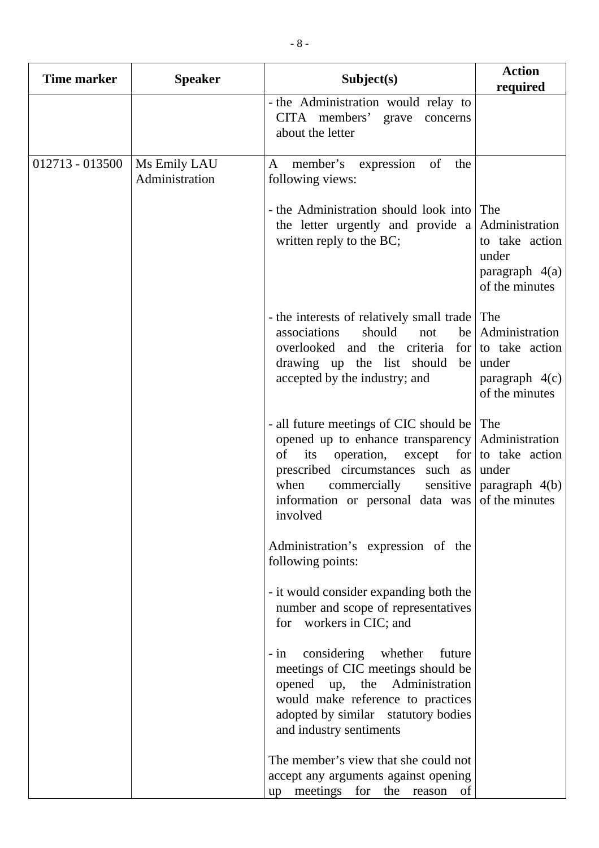| <b>Time marker</b> | <b>Speaker</b>                 | Subject(s)                                                                                                                                                                                                                                                | <b>Action</b><br>required                                                              |
|--------------------|--------------------------------|-----------------------------------------------------------------------------------------------------------------------------------------------------------------------------------------------------------------------------------------------------------|----------------------------------------------------------------------------------------|
|                    |                                | - the Administration would relay to<br>CITA members' grave<br>concerns<br>about the letter                                                                                                                                                                |                                                                                        |
| 012713 - 013500    | Ms Emily LAU<br>Administration | member's expression<br>of<br>A<br>the<br>following views:                                                                                                                                                                                                 |                                                                                        |
|                    |                                | - the Administration should look into<br>the letter urgently and provide $a$<br>written reply to the BC;                                                                                                                                                  | The<br>Administration<br>to take action<br>under<br>paragraph $4(a)$<br>of the minutes |
|                    |                                | - the interests of relatively small trade<br>associations<br>should<br>be  <br>not<br>overlooked and the criteria<br>for  <br>drawing up the list should<br>be<br>accepted by the industry; and                                                           | The<br>Administration<br>to take action<br>under<br>paragraph $4(c)$<br>of the minutes |
|                    |                                | - all future meetings of CIC should be<br>opened up to enhance transparency<br>of<br>its<br>operation, except for to take action<br>prescribed circumstances such as<br>commercially<br>sensitive<br>when<br>information or personal data was<br>involved | The<br>Administration<br>under<br>paragraph $4(b)$<br>of the minutes                   |
|                    |                                | Administration's expression of the<br>following points:                                                                                                                                                                                                   |                                                                                        |
|                    |                                | - it would consider expanding both the<br>number and scope of representatives<br>for workers in CIC; and                                                                                                                                                  |                                                                                        |
|                    |                                | considering<br>whether<br>$-$ in<br>future<br>meetings of CIC meetings should be<br>opened up, the Administration<br>would make reference to practices<br>adopted by similar statutory bodies<br>and industry sentiments                                  |                                                                                        |
|                    |                                | The member's view that she could not<br>accept any arguments against opening                                                                                                                                                                              |                                                                                        |
|                    |                                | meetings for the<br>reason<br>of<br>up                                                                                                                                                                                                                    |                                                                                        |